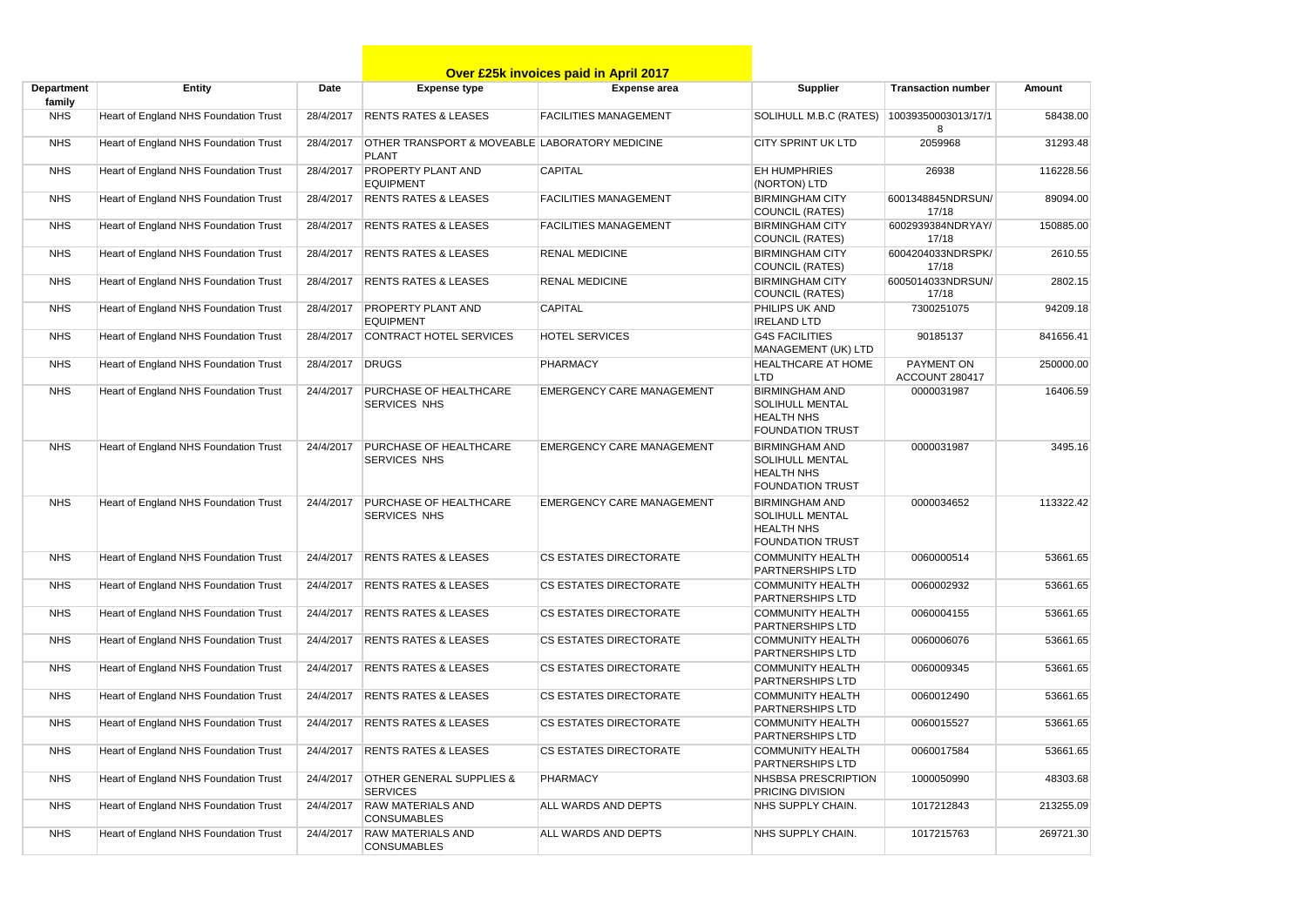|                      |                                       |           |                                                                | <b>Over £25k invoices paid in April 2017</b> |                                                                                                 |                              |           |
|----------------------|---------------------------------------|-----------|----------------------------------------------------------------|----------------------------------------------|-------------------------------------------------------------------------------------------------|------------------------------|-----------|
| Department<br>family | <b>Entity</b>                         | Date      | <b>Expense type</b>                                            | <b>Expense</b> area                          | Supplier                                                                                        | <b>Transaction number</b>    | Amount    |
| <b>NHS</b>           | Heart of England NHS Foundation Trust | 28/4/2017 | <b>RENTS RATES &amp; LEASES</b>                                | <b>FACILITIES MANAGEMENT</b>                 | SOLIHULL M.B.C (RATES)                                                                          | 10039350003013/17/1<br>8     | 58438.00  |
| <b>NHS</b>           | Heart of England NHS Foundation Trust | 28/4/2017 | OTHER TRANSPORT & MOVEABLE LABORATORY MEDICINE<br><b>PLANT</b> |                                              | <b>CITY SPRINT UK LTD</b>                                                                       | 2059968                      | 31293.48  |
| <b>NHS</b>           | Heart of England NHS Foundation Trust | 28/4/2017 | <b>PROPERTY PLANT AND</b><br><b>EQUIPMENT</b>                  | <b>CAPITAL</b>                               | <b>EH HUMPHRIES</b><br>(NORTON) LTD                                                             | 26938                        | 116228.56 |
| <b>NHS</b>           | Heart of England NHS Foundation Trust | 28/4/2017 | <b>RENTS RATES &amp; LEASES</b>                                | <b>FACILITIES MANAGEMENT</b>                 | <b>BIRMINGHAM CITY</b><br><b>COUNCIL (RATES)</b>                                                | 6001348845NDRSUN/<br>17/18   | 89094.00  |
| <b>NHS</b>           | Heart of England NHS Foundation Trust | 28/4/2017 | <b>RENTS RATES &amp; LEASES</b>                                | <b>FACILITIES MANAGEMENT</b>                 | <b>BIRMINGHAM CITY</b><br><b>COUNCIL (RATES)</b>                                                | 6002939384NDRYAY/<br>17/18   | 150885.00 |
| <b>NHS</b>           | Heart of England NHS Foundation Trust | 28/4/2017 | <b>RENTS RATES &amp; LEASES</b>                                | <b>RENAL MEDICINE</b>                        | <b>BIRMINGHAM CITY</b><br><b>COUNCIL (RATES)</b>                                                | 6004204033NDRSPK/<br>17/18   | 2610.55   |
| <b>NHS</b>           | Heart of England NHS Foundation Trust | 28/4/2017 | <b>RENTS RATES &amp; LEASES</b>                                | <b>RENAL MEDICINE</b>                        | <b>BIRMINGHAM CITY</b><br>COUNCIL (RATES)                                                       | 6005014033NDRSUN/<br>17/18   | 2802.15   |
| <b>NHS</b>           | Heart of England NHS Foundation Trust | 28/4/2017 | <b>PROPERTY PLANT AND</b><br><b>EQUIPMENT</b>                  | <b>CAPITAL</b>                               | PHILIPS UK AND<br><b>IRELAND LTD</b>                                                            | 7300251075                   | 94209.18  |
| <b>NHS</b>           | Heart of England NHS Foundation Trust | 28/4/2017 | <b>CONTRACT HOTEL SERVICES</b>                                 | <b>HOTEL SERVICES</b>                        | <b>G4S FACILITIES</b><br>MANAGEMENT (UK) LTD                                                    | 90185137                     | 841656.41 |
| <b>NHS</b>           | Heart of England NHS Foundation Trust | 28/4/2017 | <b>DRUGS</b>                                                   | <b>PHARMACY</b>                              | <b>HEALTHCARE AT HOME</b><br><b>LTD</b>                                                         | PAYMENT ON<br>ACCOUNT 280417 | 250000.00 |
| <b>NHS</b>           | Heart of England NHS Foundation Trust | 24/4/2017 | <b>PURCHASE OF HEALTHCARE</b><br>SERVICES NHS                  | <b>EMERGENCY CARE MANAGEMENT</b>             | <b>BIRMINGHAM AND</b><br><b>SOLIHULL MENTAL</b><br><b>HEALTH NHS</b><br><b>FOUNDATION TRUST</b> | 0000031987                   | 16406.59  |
| <b>NHS</b>           | Heart of England NHS Foundation Trust | 24/4/2017 | <b>PURCHASE OF HEALTHCARE</b><br><b>SERVICES NHS</b>           | <b>EMERGENCY CARE MANAGEMENT</b>             | <b>BIRMINGHAM AND</b><br><b>SOLIHULL MENTAL</b><br><b>HEALTH NHS</b><br><b>FOUNDATION TRUST</b> | 0000031987                   | 3495.16   |
| <b>NHS</b>           | Heart of England NHS Foundation Trust | 24/4/2017 | <b>PURCHASE OF HEALTHCARE</b><br><b>SERVICES NHS</b>           | EMERGENCY CARE MANAGEMENT                    | <b>BIRMINGHAM AND</b><br><b>SOLIHULL MENTAL</b><br><b>HEALTH NHS</b><br><b>FOUNDATION TRUST</b> | 0000034652                   | 113322.42 |
| <b>NHS</b>           | Heart of England NHS Foundation Trust | 24/4/2017 | <b>RENTS RATES &amp; LEASES</b>                                | <b>CS ESTATES DIRECTORATE</b>                | <b>COMMUNITY HEALTH</b><br><b>PARTNERSHIPS LTD</b>                                              | 0060000514                   | 53661.65  |
| <b>NHS</b>           | Heart of England NHS Foundation Trust | 24/4/2017 | <b>RENTS RATES &amp; LEASES</b>                                | <b>CS ESTATES DIRECTORATE</b>                | <b>COMMUNITY HEALTH</b><br><b>PARTNERSHIPS LTD</b>                                              | 0060002932                   | 53661.65  |
| <b>NHS</b>           | Heart of England NHS Foundation Trust | 24/4/2017 | <b>RENTS RATES &amp; LEASES</b>                                | <b>CS ESTATES DIRECTORATE</b>                | <b>COMMUNITY HEALTH</b><br>PARTNERSHIPS LTD                                                     | 0060004155                   | 53661.65  |
| <b>NHS</b>           | Heart of England NHS Foundation Trust | 24/4/2017 | <b>RENTS RATES &amp; LEASES</b>                                | <b>CS ESTATES DIRECTORATE</b>                | <b>COMMUNITY HEALTH</b><br><b>PARTNERSHIPS LTD</b>                                              | 0060006076                   | 53661.65  |
| <b>NHS</b>           | Heart of England NHS Foundation Trust | 24/4/2017 | <b>RENTS RATES &amp; LEASES</b>                                | <b>CS ESTATES DIRECTORATE</b>                | <b>COMMUNITY HEALTH</b><br><b>PARTNERSHIPS LTD</b>                                              | 0060009345                   | 53661.65  |
| <b>NHS</b>           | Heart of England NHS Foundation Trust | 24/4/2017 | <b>RENTS RATES &amp; LEASES</b>                                | <b>CS ESTATES DIRECTORATE</b>                | <b>COMMUNITY HEALTH</b><br>PARTNERSHIPS LTD                                                     | 0060012490                   | 53661.65  |
| <b>NHS</b>           | Heart of England NHS Foundation Trust | 24/4/2017 | <b>RENTS RATES &amp; LEASES</b>                                | <b>CS ESTATES DIRECTORATE</b>                | <b>COMMUNITY HEALTH</b><br><b>PARTNERSHIPS LTD</b>                                              | 0060015527                   | 53661.65  |
| <b>NHS</b>           | Heart of England NHS Foundation Trust | 24/4/2017 | <b>RENTS RATES &amp; LEASES</b>                                | <b>CS ESTATES DIRECTORATE</b>                | <b>COMMUNITY HEALTH</b><br><b>PARTNERSHIPS LTD</b>                                              | 0060017584                   | 53661.65  |
| <b>NHS</b>           | Heart of England NHS Foundation Trust | 24/4/2017 | <b>OTHER GENERAL SUPPLIES &amp;</b><br><b>SERVICES</b>         | <b>PHARMACY</b>                              | NHSBSA PRESCRIPTION<br>PRICING DIVISION                                                         | 1000050990                   | 48303.68  |
| <b>NHS</b>           | Heart of England NHS Foundation Trust | 24/4/2017 | <b>RAW MATERIALS AND</b><br><b>CONSUMABLES</b>                 | ALL WARDS AND DEPTS                          | NHS SUPPLY CHAIN.                                                                               | 1017212843                   | 213255.09 |
| <b>NHS</b>           | Heart of England NHS Foundation Trust | 24/4/2017 | <b>RAW MATERIALS AND</b><br><b>CONSUMABLES</b>                 | ALL WARDS AND DEPTS                          | NHS SUPPLY CHAIN.                                                                               | 1017215763                   | 269721.30 |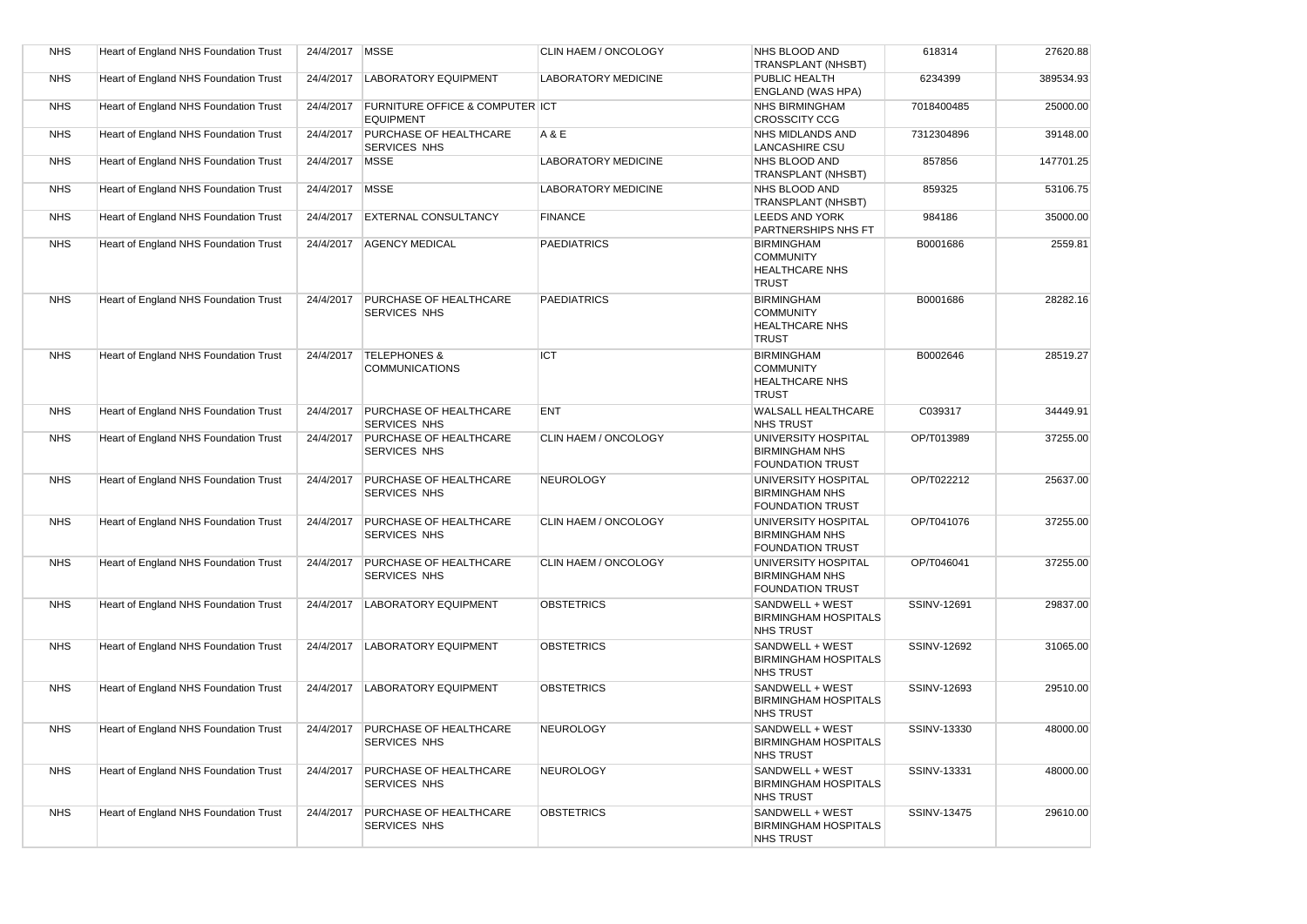| <b>NHS</b> | Heart of England NHS Foundation Trust | 24/4/2017 MSSE |                                                                | CLIN HAEM / ONCOLOGY       | NHS BLOOD AND<br>TRANSPLANT (NHSBT)                                            | 618314      | 27620.88  |
|------------|---------------------------------------|----------------|----------------------------------------------------------------|----------------------------|--------------------------------------------------------------------------------|-------------|-----------|
| <b>NHS</b> | Heart of England NHS Foundation Trust | 24/4/2017      | <b>LABORATORY EQUIPMENT</b>                                    | <b>LABORATORY MEDICINE</b> | PUBLIC HEALTH<br><b>ENGLAND (WAS HPA)</b>                                      | 6234399     | 389534.93 |
| <b>NHS</b> | Heart of England NHS Foundation Trust | 24/4/2017      | <b>FURNITURE OFFICE &amp; COMPUTER ICT</b><br><b>EQUIPMENT</b> |                            | <b>NHS BIRMINGHAM</b><br><b>CROSSCITY CCG</b>                                  | 7018400485  | 25000.00  |
| <b>NHS</b> | Heart of England NHS Foundation Trust | 24/4/2017      | PURCHASE OF HEALTHCARE<br><b>SERVICES NHS</b>                  | A & E                      | <b>NHS MIDLANDS AND</b><br><b>LANCASHIRE CSU</b>                               | 7312304896  | 39148.00  |
| <b>NHS</b> | Heart of England NHS Foundation Trust | 24/4/2017      | <b>MSSE</b>                                                    | <b>LABORATORY MEDICINE</b> | NHS BLOOD AND<br>TRANSPLANT (NHSBT)                                            | 857856      | 147701.25 |
| <b>NHS</b> | Heart of England NHS Foundation Trust | 24/4/2017      | <b>MSSE</b>                                                    | <b>LABORATORY MEDICINE</b> | NHS BLOOD AND<br><b>TRANSPLANT (NHSBT)</b>                                     | 859325      | 53106.75  |
| <b>NHS</b> | Heart of England NHS Foundation Trust | 24/4/2017      | <b>EXTERNAL CONSULTANCY</b>                                    | <b>FINANCE</b>             | <b>LEEDS AND YORK</b><br>PARTNERSHIPS NHS FT                                   | 984186      | 35000.00  |
| <b>NHS</b> | Heart of England NHS Foundation Trust | 24/4/2017      | <b>AGENCY MEDICAL</b>                                          | <b>PAEDIATRICS</b>         | <b>BIRMINGHAM</b><br><b>COMMUNITY</b><br><b>HEALTHCARE NHS</b><br><b>TRUST</b> | B0001686    | 2559.81   |
| <b>NHS</b> | Heart of England NHS Foundation Trust | 24/4/2017      | <b>PURCHASE OF HEALTHCARE</b><br><b>SERVICES NHS</b>           | <b>PAEDIATRICS</b>         | <b>BIRMINGHAM</b><br><b>COMMUNITY</b><br><b>HEALTHCARE NHS</b><br><b>TRUST</b> | B0001686    | 28282.16  |
| <b>NHS</b> | Heart of England NHS Foundation Trust | 24/4/2017      | <b>TELEPHONES &amp;</b><br><b>COMMUNICATIONS</b>               | <b>ICT</b>                 | <b>BIRMINGHAM</b><br><b>COMMUNITY</b><br>HEALTHCARE NHS<br><b>TRUST</b>        | B0002646    | 28519.27  |
| <b>NHS</b> | Heart of England NHS Foundation Trust | 24/4/2017      | PURCHASE OF HEALTHCARE<br><b>SERVICES NHS</b>                  | <b>ENT</b>                 | <b>WALSALL HEALTHCARE</b><br><b>NHS TRUST</b>                                  | C039317     | 34449.91  |
| <b>NHS</b> | Heart of England NHS Foundation Trust | 24/4/2017      | PURCHASE OF HEALTHCARE<br><b>SERVICES NHS</b>                  | CLIN HAEM / ONCOLOGY       | UNIVERSITY HOSPITAL<br><b>BIRMINGHAM NHS</b><br><b>FOUNDATION TRUST</b>        | OP/T013989  | 37255.00  |
| <b>NHS</b> | Heart of England NHS Foundation Trust | 24/4/2017      | PURCHASE OF HEALTHCARE<br><b>SERVICES NHS</b>                  | <b>NEUROLOGY</b>           | UNIVERSITY HOSPITAL<br><b>BIRMINGHAM NHS</b><br><b>FOUNDATION TRUST</b>        | OP/T022212  | 25637.00  |
| <b>NHS</b> | Heart of England NHS Foundation Trust | 24/4/2017      | PURCHASE OF HEALTHCARE<br>SERVICES NHS                         | CLIN HAEM / ONCOLOGY       | UNIVERSITY HOSPITAL<br><b>BIRMINGHAM NHS</b><br><b>FOUNDATION TRUST</b>        | OP/T041076  | 37255.00  |
| <b>NHS</b> | Heart of England NHS Foundation Trust | 24/4/2017      | PURCHASE OF HEALTHCARE<br><b>SERVICES NHS</b>                  | CLIN HAEM / ONCOLOGY       | UNIVERSITY HOSPITAL<br><b>BIRMINGHAM NHS</b><br><b>FOUNDATION TRUST</b>        | OP/T046041  | 37255.00  |
| <b>NHS</b> | Heart of England NHS Foundation Trust | 24/4/2017      | <b>LABORATORY EQUIPMENT</b>                                    | <b>OBSTETRICS</b>          | SANDWELL + WEST<br><b>BIRMINGHAM HOSPITALS</b><br><b>NHS TRUST</b>             | SSINV-12691 | 29837.00  |
| <b>NHS</b> | Heart of England NHS Foundation Trust | 24/4/2017      | <b>LABORATORY EQUIPMENT</b>                                    | <b>OBSTETRICS</b>          | SANDWELL + WEST<br><b>BIRMINGHAM HOSPITALS</b><br><b>NHS TRUST</b>             | SSINV-12692 | 31065.00  |
| <b>NHS</b> | Heart of England NHS Foundation Trust | 24/4/2017      | <b>LABORATORY EQUIPMENT</b>                                    | <b>OBSTETRICS</b>          | SANDWELL + WEST<br><b>BIRMINGHAM HOSPITALS</b><br><b>NHS TRUST</b>             | SSINV-12693 | 29510.00  |
| <b>NHS</b> | Heart of England NHS Foundation Trust | 24/4/2017      | PURCHASE OF HEALTHCARE<br><b>SERVICES NHS</b>                  | <b>NEUROLOGY</b>           | SANDWELL + WEST<br><b>BIRMINGHAM HOSPITALS</b><br><b>NHS TRUST</b>             | SSINV-13330 | 48000.00  |
| <b>NHS</b> | Heart of England NHS Foundation Trust | 24/4/2017      | <b>PURCHASE OF HEALTHCARE</b><br><b>SERVICES NHS</b>           | <b>NEUROLOGY</b>           | SANDWELL + WEST<br><b>BIRMINGHAM HOSPITALS</b><br><b>NHS TRUST</b>             | SSINV-13331 | 48000.00  |
| <b>NHS</b> | Heart of England NHS Foundation Trust | 24/4/2017      | PURCHASE OF HEALTHCARE<br><b>SERVICES NHS</b>                  | <b>OBSTETRICS</b>          | SANDWELL + WEST<br><b>BIRMINGHAM HOSPITALS</b><br><b>NHS TRUST</b>             | SSINV-13475 | 29610.00  |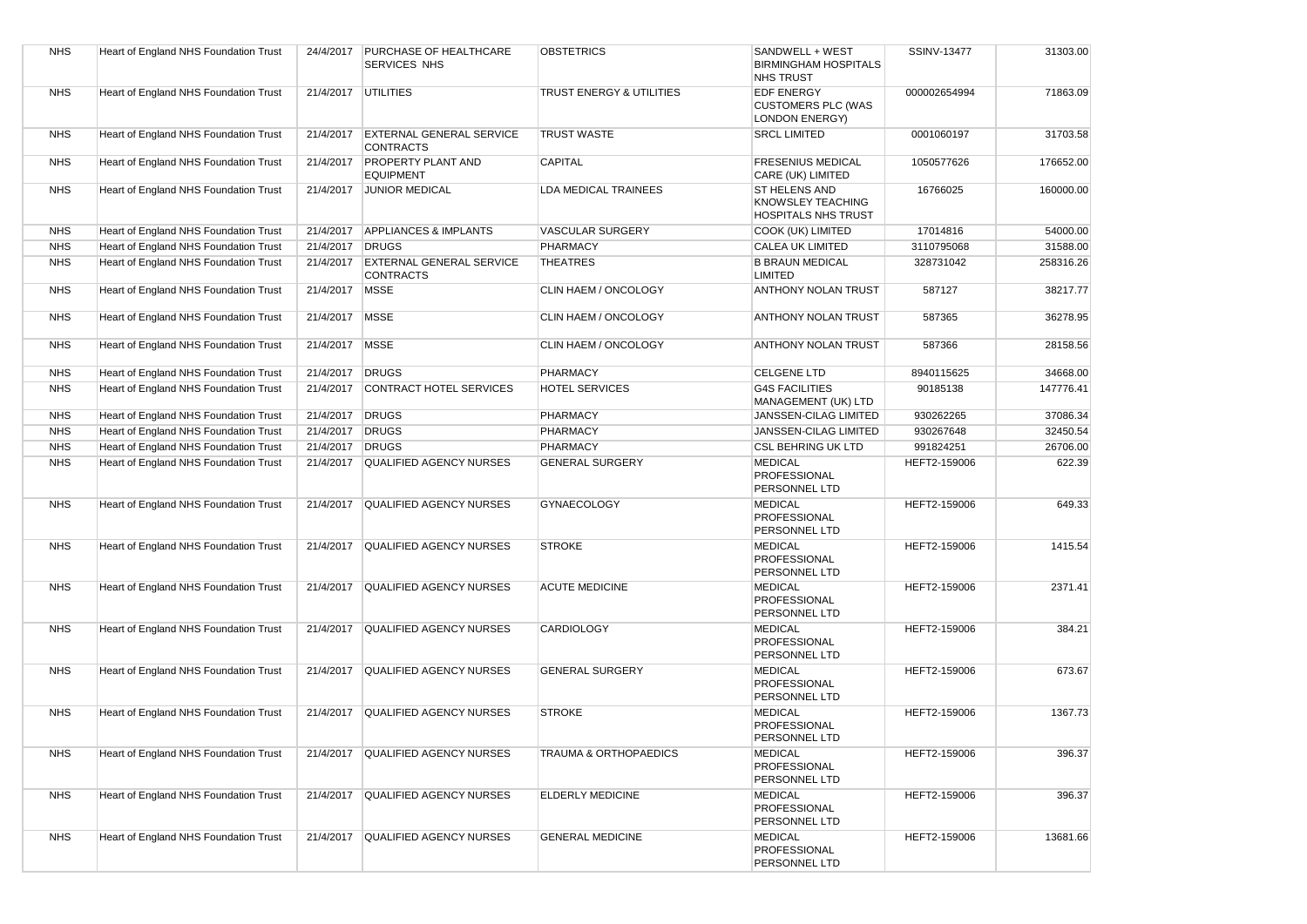| <b>NHS</b> | Heart of England NHS Foundation Trust | 24/4/2017        | <b>PURCHASE OF HEALTHCARE</b><br><b>SERVICES NHS</b> | <b>OBSTETRICS</b>        | SANDWELL + WEST<br><b>BIRMINGHAM HOSPITALS</b><br><b>NHS TRUST</b>      | <b>SSINV-13477</b> | 31303.00  |
|------------|---------------------------------------|------------------|------------------------------------------------------|--------------------------|-------------------------------------------------------------------------|--------------------|-----------|
| <b>NHS</b> | Heart of England NHS Foundation Trust |                  | 21/4/2017 UTILITIES                                  | TRUST ENERGY & UTILITIES | <b>EDF ENERGY</b><br><b>CUSTOMERS PLC (WAS</b><br><b>LONDON ENERGY)</b> | 000002654994       | 71863.09  |
| <b>NHS</b> | Heart of England NHS Foundation Trust | 21/4/2017        | <b>EXTERNAL GENERAL SERVICE</b><br><b>CONTRACTS</b>  | <b>TRUST WASTE</b>       | <b>SRCL LIMITED</b>                                                     | 0001060197         | 31703.58  |
| <b>NHS</b> | Heart of England NHS Foundation Trust | 21/4/2017        | <b>PROPERTY PLANT AND</b><br><b>EQUIPMENT</b>        | <b>CAPITAL</b>           | <b>FRESENIUS MEDICAL</b><br>CARE (UK) LIMITED                           | 1050577626         | 176652.00 |
| <b>NHS</b> | Heart of England NHS Foundation Trust |                  | 21/4/2017 JUNIOR MEDICAL                             | LDA MEDICAL TRAINEES     | ST HELENS AND<br><b>KNOWSLEY TEACHING</b><br><b>HOSPITALS NHS TRUST</b> | 16766025           | 160000.00 |
| <b>NHS</b> | Heart of England NHS Foundation Trust | 21/4/2017        | <b>APPLIANCES &amp; IMPLANTS</b>                     | <b>VASCULAR SURGERY</b>  | COOK (UK) LIMITED                                                       | 17014816           | 54000.00  |
| <b>NHS</b> | Heart of England NHS Foundation Trust | 21/4/2017        | <b>DRUGS</b>                                         | PHARMACY                 | <b>CALEA UK LIMITED</b>                                                 | 3110795068         | 31588.00  |
| <b>NHS</b> | Heart of England NHS Foundation Trust | 21/4/2017        | <b>EXTERNAL GENERAL SERVICE</b><br><b>CONTRACTS</b>  | <b>THEATRES</b>          | <b>B BRAUN MEDICAL</b><br>LIMITED                                       | 328731042          | 258316.26 |
| <b>NHS</b> | Heart of England NHS Foundation Trust | 21/4/2017        | <b>MSSE</b>                                          | CLIN HAEM / ONCOLOGY     | ANTHONY NOLAN TRUST                                                     | 587127             | 38217.77  |
| <b>NHS</b> | Heart of England NHS Foundation Trust | 21/4/2017   MSSE |                                                      | CLIN HAEM / ONCOLOGY     | ANTHONY NOLAN TRUST                                                     | 587365             | 36278.95  |
| <b>NHS</b> | Heart of England NHS Foundation Trust | 21/4/2017        | <b>MSSE</b>                                          | CLIN HAEM / ONCOLOGY     | <b>ANTHONY NOLAN TRUST</b>                                              | 587366             | 28158.56  |
| <b>NHS</b> | Heart of England NHS Foundation Trust | 21/4/2017        | <b>DRUGS</b>                                         | <b>PHARMACY</b>          | <b>CELGENE LTD</b>                                                      | 8940115625         | 34668.00  |
| <b>NHS</b> | Heart of England NHS Foundation Trust | 21/4/2017        | CONTRACT HOTEL SERVICES                              | <b>HOTEL SERVICES</b>    | <b>G4S FACILITIES</b><br>MANAGEMENT (UK) LTD                            | 90185138           | 147776.41 |
| <b>NHS</b> | Heart of England NHS Foundation Trust | 21/4/2017 DRUGS  |                                                      | <b>PHARMACY</b>          | JANSSEN-CILAG LIMITED                                                   | 930262265          | 37086.34  |
| <b>NHS</b> | Heart of England NHS Foundation Trust | 21/4/2017        | <b>DRUGS</b>                                         | PHARMACY                 | JANSSEN-CILAG LIMITED                                                   | 930267648          | 32450.54  |
| <b>NHS</b> | Heart of England NHS Foundation Trust | 21/4/2017        | <b>DRUGS</b>                                         | <b>PHARMACY</b>          | <b>CSL BEHRING UK LTD</b>                                               | 991824251          | 26706.00  |
| <b>NHS</b> | Heart of England NHS Foundation Trust | 21/4/2017        | <b>QUALIFIED AGENCY NURSES</b>                       | <b>GENERAL SURGERY</b>   | <b>MEDICAL</b><br><b>PROFESSIONAL</b><br>PERSONNEL LTD                  | HEFT2-159006       | 622.39    |
| <b>NHS</b> | Heart of England NHS Foundation Trust | 21/4/2017        | <b>QUALIFIED AGENCY NURSES</b>                       | <b>GYNAECOLOGY</b>       | <b>MEDICAL</b><br><b>PROFESSIONAL</b><br>PERSONNEL LTD                  | HEFT2-159006       | 649.33    |
| <b>NHS</b> | Heart of England NHS Foundation Trust | 21/4/2017        | <b>QUALIFIED AGENCY NURSES</b>                       | <b>STROKE</b>            | <b>MEDICAL</b><br><b>PROFESSIONAL</b><br>PERSONNEL LTD                  | HEFT2-159006       | 1415.54   |
| <b>NHS</b> | Heart of England NHS Foundation Trust | 21/4/2017        | <b>QUALIFIED AGENCY NURSES</b>                       | <b>ACUTE MEDICINE</b>    | <b>MEDICAL</b><br><b>PROFESSIONAL</b><br>PERSONNEL LTD                  | HEFT2-159006       | 2371.41   |
| <b>NHS</b> | Heart of England NHS Foundation Trust |                  | 21/4/2017 QUALIFIED AGENCY NURSES                    | <b>CARDIOLOGY</b>        | <b>MEDICAL</b><br>PROFESSIONAL<br>PERSONNEL LTD                         | HEFT2-159006       | 384.21    |
| <b>NHS</b> | Heart of England NHS Foundation Trust |                  | 21/4/2017 QUALIFIED AGENCY NURSES                    | <b>GENERAL SURGERY</b>   | <b>MEDICAL</b><br><b>PROFESSIONAL</b><br>PERSONNEL LTD                  | HEFT2-159006       | 673.67    |
| <b>NHS</b> | Heart of England NHS Foundation Trust | 21/4/2017        | QUALIFIED AGENCY NURSES                              | <b>STROKE</b>            | <b>MEDICAL</b><br><b>PROFESSIONAL</b><br>PERSONNEL LTD                  | HEFT2-159006       | 1367.73   |
| <b>NHS</b> | Heart of England NHS Foundation Trust |                  | 21/4/2017 QUALIFIED AGENCY NURSES                    | TRAUMA & ORTHOPAEDICS    | <b>MEDICAL</b><br>PROFESSIONAL<br>PERSONNEL LTD                         | HEFT2-159006       | 396.37    |
| <b>NHS</b> | Heart of England NHS Foundation Trust |                  | 21/4/2017 QUALIFIED AGENCY NURSES                    | <b>ELDERLY MEDICINE</b>  | <b>MEDICAL</b><br>PROFESSIONAL<br>PERSONNEL LTD                         | HEFT2-159006       | 396.37    |
| <b>NHS</b> | Heart of England NHS Foundation Trust | 21/4/2017        | QUALIFIED AGENCY NURSES                              | <b>GENERAL MEDICINE</b>  | <b>MEDICAL</b><br><b>PROFESSIONAL</b><br>PERSONNEL LTD                  | HEFT2-159006       | 13681.66  |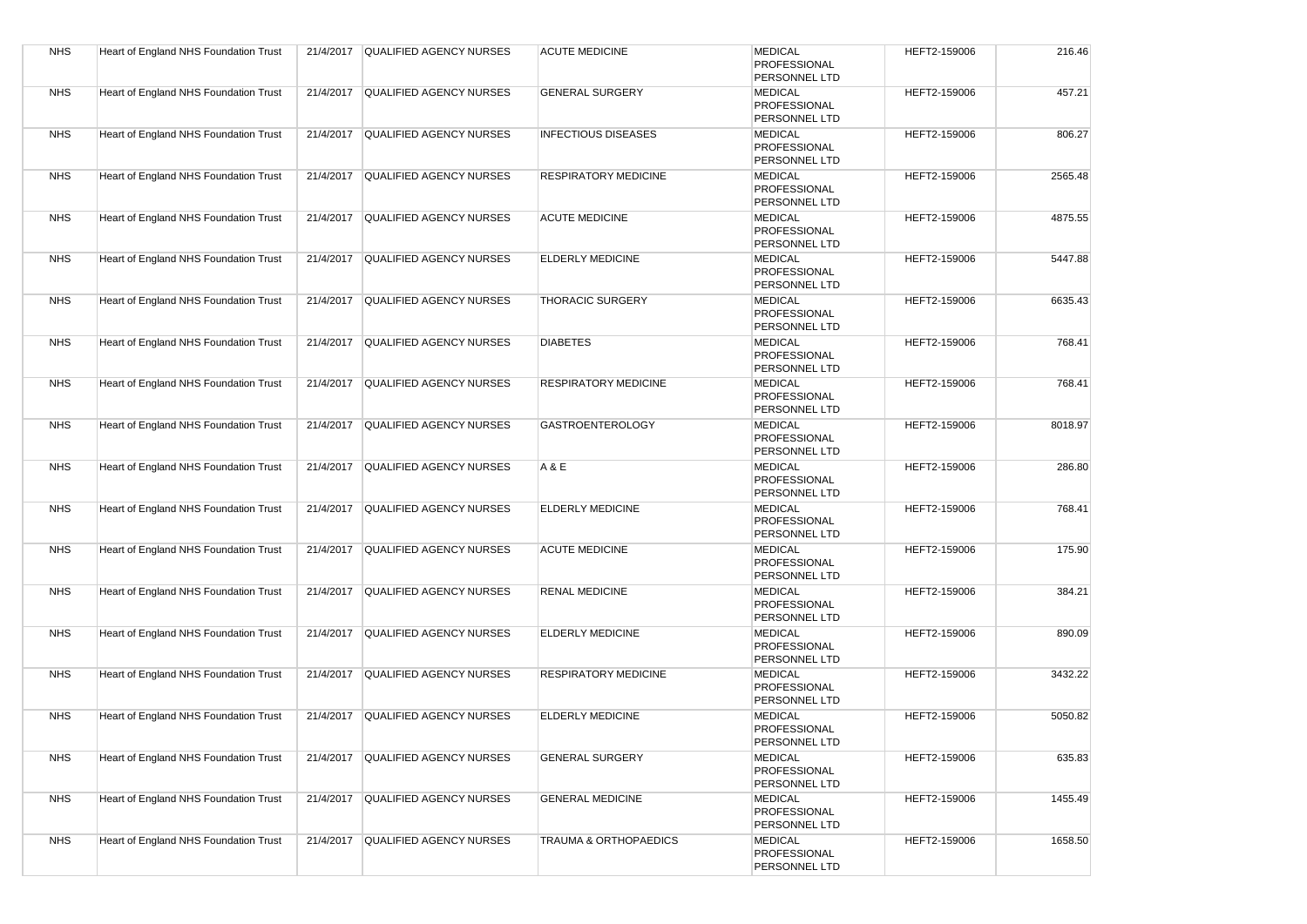| <b>NHS</b> | Heart of England NHS Foundation Trust |           | 21/4/2017 QUALIFIED AGENCY NURSES | <b>ACUTE MEDICINE</b>       | <b>MEDICAL</b><br>PROFESSIONAL<br>PERSONNEL LTD        | HEFT2-159006 | 216.46  |
|------------|---------------------------------------|-----------|-----------------------------------|-----------------------------|--------------------------------------------------------|--------------|---------|
| <b>NHS</b> | Heart of England NHS Foundation Trust | 21/4/2017 | <b>QUALIFIED AGENCY NURSES</b>    | <b>GENERAL SURGERY</b>      | <b>MEDICAL</b><br>PROFESSIONAL<br>PERSONNEL LTD        | HEFT2-159006 | 457.21  |
| <b>NHS</b> | Heart of England NHS Foundation Trust |           | 21/4/2017 QUALIFIED AGENCY NURSES | <b>INFECTIOUS DISEASES</b>  | <b>MEDICAL</b><br>PROFESSIONAL<br>PERSONNEL LTD        | HEFT2-159006 | 806.27  |
| <b>NHS</b> | Heart of England NHS Foundation Trust | 21/4/2017 | QUALIFIED AGENCY NURSES           | <b>RESPIRATORY MEDICINE</b> | <b>MEDICAL</b><br>PROFESSIONAL<br>PERSONNEL LTD        | HEFT2-159006 | 2565.48 |
| <b>NHS</b> | Heart of England NHS Foundation Trust | 21/4/2017 | <b>QUALIFIED AGENCY NURSES</b>    | <b>ACUTE MEDICINE</b>       | <b>MEDICAL</b><br>PROFESSIONAL<br>PERSONNEL LTD        | HEFT2-159006 | 4875.55 |
| <b>NHS</b> | Heart of England NHS Foundation Trust | 21/4/2017 | <b>QUALIFIED AGENCY NURSES</b>    | <b>ELDERLY MEDICINE</b>     | <b>MEDICAL</b><br>PROFESSIONAL<br>PERSONNEL LTD        | HEFT2-159006 | 5447.88 |
| <b>NHS</b> | Heart of England NHS Foundation Trust |           | 21/4/2017 QUALIFIED AGENCY NURSES | <b>THORACIC SURGERY</b>     | <b>MEDICAL</b><br>PROFESSIONAL<br>PERSONNEL LTD        | HEFT2-159006 | 6635.43 |
| <b>NHS</b> | Heart of England NHS Foundation Trust | 21/4/2017 | QUALIFIED AGENCY NURSES           | <b>DIABETES</b>             | <b>MEDICAL</b><br>PROFESSIONAL<br>PERSONNEL LTD        | HEFT2-159006 | 768.41  |
| <b>NHS</b> | Heart of England NHS Foundation Trust | 21/4/2017 | QUALIFIED AGENCY NURSES           | <b>RESPIRATORY MEDICINE</b> | <b>MEDICAL</b><br>PROFESSIONAL<br>PERSONNEL LTD        | HEFT2-159006 | 768.41  |
| <b>NHS</b> | Heart of England NHS Foundation Trust | 21/4/2017 | QUALIFIED AGENCY NURSES           | <b>GASTROENTEROLOGY</b>     | <b>MEDICAL</b><br>PROFESSIONAL<br>PERSONNEL LTD        | HEFT2-159006 | 8018.97 |
| <b>NHS</b> | Heart of England NHS Foundation Trust | 21/4/2017 | <b>QUALIFIED AGENCY NURSES</b>    | A & E                       | <b>MEDICAL</b><br><b>PROFESSIONAL</b><br>PERSONNEL LTD | HEFT2-159006 | 286.80  |
| <b>NHS</b> | Heart of England NHS Foundation Trust | 21/4/2017 | <b>QUALIFIED AGENCY NURSES</b>    | <b>ELDERLY MEDICINE</b>     | <b>MEDICAL</b><br>PROFESSIONAL<br>PERSONNEL LTD        | HEFT2-159006 | 768.41  |
| <b>NHS</b> | Heart of England NHS Foundation Trust | 21/4/2017 | <b>QUALIFIED AGENCY NURSES</b>    | <b>ACUTE MEDICINE</b>       | <b>MEDICAL</b><br>PROFESSIONAL<br>PERSONNEL LTD        | HEFT2-159006 | 175.90  |
| <b>NHS</b> | Heart of England NHS Foundation Trust |           | 21/4/2017 QUALIFIED AGENCY NURSES | <b>RENAL MEDICINE</b>       | <b>MEDICAL</b><br>PROFESSIONAL<br>PERSONNEL LTD        | HEFT2-159006 | 384.21  |
| <b>NHS</b> | Heart of England NHS Foundation Trust | 21/4/2017 | <b>QUALIFIED AGENCY NURSES</b>    | <b>ELDERLY MEDICINE</b>     | <b>MEDICAL</b><br>PROFESSIONAL<br>PERSONNEL LTD        | HEFT2-159006 | 890.09  |
| <b>NHS</b> | Heart of England NHS Foundation Trust | 21/4/2017 | <b>QUALIFIED AGENCY NURSES</b>    | <b>RESPIRATORY MEDICINE</b> | <b>MEDICAL</b><br>PROFESSIONAL<br>PERSONNEL LTD        | HEFT2-159006 | 3432.22 |
| <b>NHS</b> | Heart of England NHS Foundation Trust | 21/4/2017 | <b>QUALIFIED AGENCY NURSES</b>    | <b>ELDERLY MEDICINE</b>     | <b>MEDICAL</b><br>PROFESSIONAL<br>PERSONNEL LTD        | HEFT2-159006 | 5050.82 |
| <b>NHS</b> | Heart of England NHS Foundation Trust |           | 21/4/2017 QUALIFIED AGENCY NURSES | <b>GENERAL SURGERY</b>      | <b>MEDICAL</b><br>PROFESSIONAL<br>PERSONNEL LTD        | HEFT2-159006 | 635.83  |
| <b>NHS</b> | Heart of England NHS Foundation Trust | 21/4/2017 | <b>QUALIFIED AGENCY NURSES</b>    | <b>GENERAL MEDICINE</b>     | <b>MEDICAL</b><br>PROFESSIONAL<br>PERSONNEL LTD        | HEFT2-159006 | 1455.49 |
| <b>NHS</b> | Heart of England NHS Foundation Trust | 21/4/2017 | <b>QUALIFIED AGENCY NURSES</b>    | TRAUMA & ORTHOPAEDICS       | <b>MEDICAL</b><br>PROFESSIONAL<br>PERSONNEL LTD        | HEFT2-159006 | 1658.50 |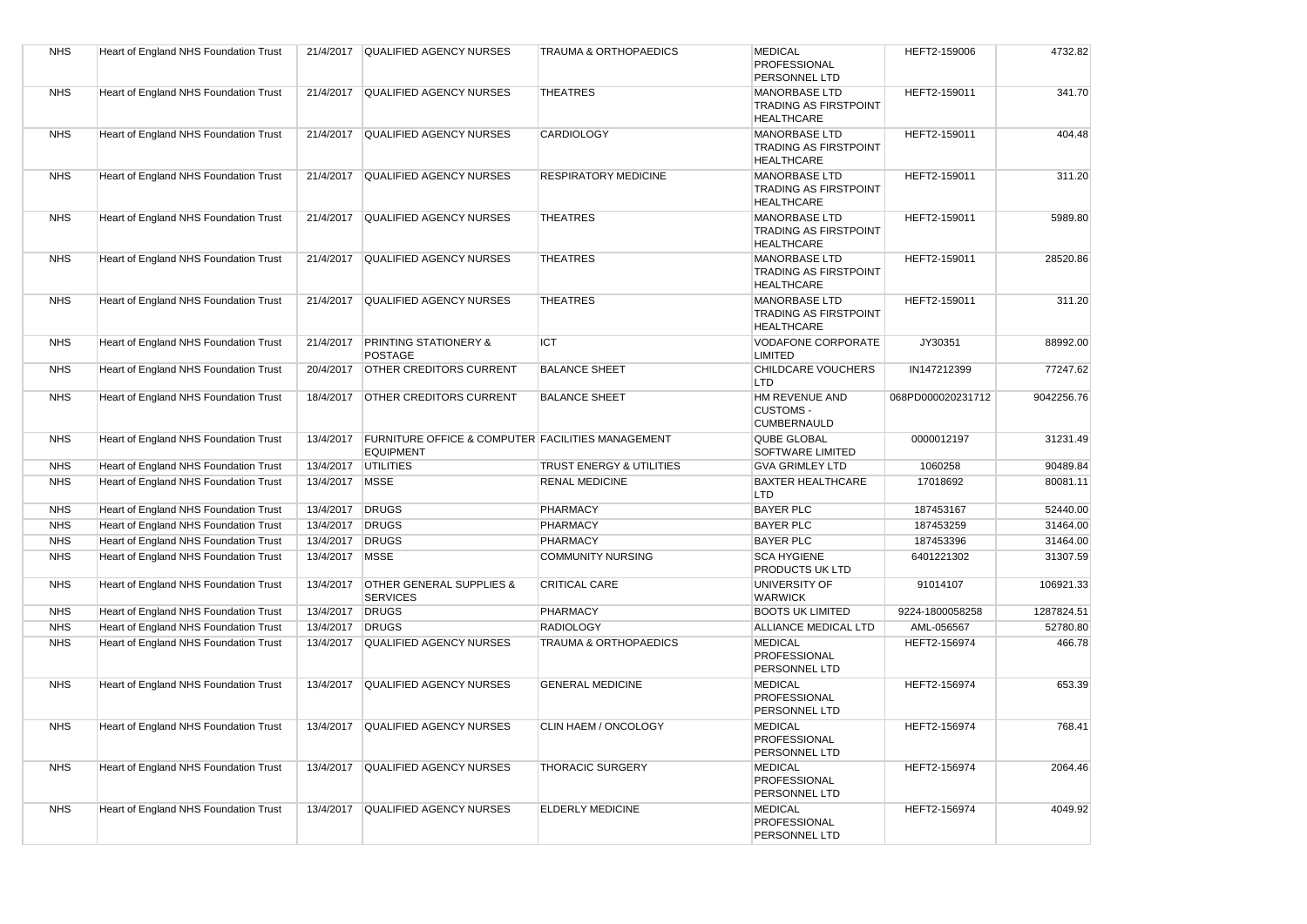| <b>NHS</b> | Heart of England NHS Foundation Trust |                     | 21/4/2017 QUALIFIED AGENCY NURSES                                                | <b>TRAUMA &amp; ORTHOPAEDICS</b> | <b>MEDICAL</b><br><b>PROFESSIONAL</b><br>PERSONNEL LTD                    | HEFT2-159006      | 4732.82    |
|------------|---------------------------------------|---------------------|----------------------------------------------------------------------------------|----------------------------------|---------------------------------------------------------------------------|-------------------|------------|
| <b>NHS</b> | Heart of England NHS Foundation Trust | 21/4/2017           | <b>QUALIFIED AGENCY NURSES</b>                                                   | <b>THEATRES</b>                  | <b>MANORBASE LTD</b><br><b>TRADING AS FIRSTPOINT</b><br><b>HEALTHCARE</b> | HEFT2-159011      | 341.70     |
| <b>NHS</b> | Heart of England NHS Foundation Trust | 21/4/2017           | <b>QUALIFIED AGENCY NURSES</b>                                                   | <b>CARDIOLOGY</b>                | <b>MANORBASE LTD</b><br><b>TRADING AS FIRSTPOINT</b><br><b>HEALTHCARE</b> | HEFT2-159011      | 404.48     |
| <b>NHS</b> | Heart of England NHS Foundation Trust |                     | 21/4/2017 QUALIFIED AGENCY NURSES                                                | <b>RESPIRATORY MEDICINE</b>      | <b>MANORBASE LTD</b><br><b>TRADING AS FIRSTPOINT</b><br><b>HEALTHCARE</b> | HEFT2-159011      | 311.20     |
| <b>NHS</b> | Heart of England NHS Foundation Trust | 21/4/2017           | <b>QUALIFIED AGENCY NURSES</b>                                                   | <b>THEATRES</b>                  | <b>MANORBASE LTD</b><br><b>TRADING AS FIRSTPOINT</b><br><b>HEALTHCARE</b> | HEFT2-159011      | 5989.80    |
| <b>NHS</b> | Heart of England NHS Foundation Trust | 21/4/2017           | <b>QUALIFIED AGENCY NURSES</b>                                                   | <b>THEATRES</b>                  | <b>MANORBASE LTD</b><br><b>TRADING AS FIRSTPOINT</b><br><b>HEALTHCARE</b> | HEFT2-159011      | 28520.86   |
| <b>NHS</b> | Heart of England NHS Foundation Trust | 21/4/2017           | <b>QUALIFIED AGENCY NURSES</b>                                                   | <b>THEATRES</b>                  | <b>MANORBASE LTD</b><br><b>TRADING AS FIRSTPOINT</b><br><b>HEALTHCARE</b> | HEFT2-159011      | 311.20     |
| <b>NHS</b> | Heart of England NHS Foundation Trust | 21/4/2017           | <b>PRINTING STATIONERY &amp;</b><br><b>POSTAGE</b>                               | <b>ICT</b>                       | <b>VODAFONE CORPORATE</b><br>LIMITED                                      | JY30351           | 88992.00   |
| <b>NHS</b> | Heart of England NHS Foundation Trust | 20/4/2017           | <b>OTHER CREDITORS CURRENT</b>                                                   | <b>BALANCE SHEET</b>             | CHILDCARE VOUCHERS<br>LTD                                                 | IN147212399       | 77247.62   |
| <b>NHS</b> | Heart of England NHS Foundation Trust | 18/4/2017           | <b>OTHER CREDITORS CURRENT</b>                                                   | <b>BALANCE SHEET</b>             | HM REVENUE AND<br><b>CUSTOMS -</b><br><b>CUMBERNAULD</b>                  | 068PD000020231712 | 9042256.76 |
| <b>NHS</b> | Heart of England NHS Foundation Trust | 13/4/2017           | <b>FURNITURE OFFICE &amp; COMPUTER FACILITIES MANAGEMENT</b><br><b>EQUIPMENT</b> |                                  | <b>QUBE GLOBAL</b><br>SOFTWARE LIMITED                                    | 0000012197        | 31231.49   |
| <b>NHS</b> | Heart of England NHS Foundation Trust | 13/4/2017 UTILITIES |                                                                                  | TRUST ENERGY & UTILITIES         | <b>GVA GRIMLEY LTD</b>                                                    | 1060258           | 90489.84   |
| <b>NHS</b> | Heart of England NHS Foundation Trust | 13/4/2017           | <b>MSSE</b>                                                                      | <b>RENAL MEDICINE</b>            | <b>BAXTER HEALTHCARE</b><br>LTD                                           | 17018692          | 80081.11   |
| <b>NHS</b> | Heart of England NHS Foundation Trust | 13/4/2017 DRUGS     |                                                                                  | PHARMACY                         | <b>BAYER PLC</b>                                                          | 187453167         | 52440.00   |
| <b>NHS</b> | Heart of England NHS Foundation Trust | 13/4/2017           | <b>DRUGS</b>                                                                     | <b>PHARMACY</b>                  | <b>BAYER PLC</b>                                                          | 187453259         | 31464.00   |
| <b>NHS</b> | Heart of England NHS Foundation Trust | 13/4/2017           | <b>DRUGS</b>                                                                     | PHARMACY                         | <b>BAYER PLC</b>                                                          | 187453396         | 31464.00   |
| <b>NHS</b> | Heart of England NHS Foundation Trust | 13/4/2017           | <b>MSSE</b>                                                                      | <b>COMMUNITY NURSING</b>         | <b>SCA HYGIENE</b><br>PRODUCTS UK LTD                                     | 6401221302        | 31307.59   |
| <b>NHS</b> | Heart of England NHS Foundation Trust | 13/4/2017           | <b>OTHER GENERAL SUPPLIES &amp;</b><br><b>SERVICES</b>                           | <b>CRITICAL CARE</b>             | <b>UNIVERSITY OF</b><br><b>WARWICK</b>                                    | 91014107          | 106921.33  |
| <b>NHS</b> | Heart of England NHS Foundation Trust | 13/4/2017           | <b>DRUGS</b>                                                                     | PHARMACY                         | <b>BOOTS UK LIMITED</b>                                                   | 9224-1800058258   | 1287824.51 |
| <b>NHS</b> | Heart of England NHS Foundation Trust | 13/4/2017           | <b>DRUGS</b>                                                                     | <b>RADIOLOGY</b>                 | ALLIANCE MEDICAL LTD                                                      | AML-056567        | 52780.80   |
| <b>NHS</b> | Heart of England NHS Foundation Trust | 13/4/2017           | <b>QUALIFIED AGENCY NURSES</b>                                                   | <b>TRAUMA &amp; ORTHOPAEDICS</b> | <b>MEDICAL</b><br>PROFESSIONAL<br>PERSONNEL LTD                           | HEFT2-156974      | 466.78     |
| <b>NHS</b> | Heart of England NHS Foundation Trust | 13/4/2017           | <b>QUALIFIED AGENCY NURSES</b>                                                   | <b>GENERAL MEDICINE</b>          | <b>MEDICAL</b><br>PROFESSIONAL<br>PERSONNEL LTD                           | HEFT2-156974      | 653.39     |
| <b>NHS</b> | Heart of England NHS Foundation Trust | 13/4/2017           | QUALIFIED AGENCY NURSES                                                          | CLIN HAEM / ONCOLOGY             | <b>MEDICAL</b><br>PROFESSIONAL<br>PERSONNEL LTD                           | HEFT2-156974      | 768.41     |
| <b>NHS</b> | Heart of England NHS Foundation Trust |                     | 13/4/2017 QUALIFIED AGENCY NURSES                                                | <b>THORACIC SURGERY</b>          | <b>MEDICAL</b><br>PROFESSIONAL<br>PERSONNEL LTD                           | HEFT2-156974      | 2064.46    |
| <b>NHS</b> | Heart of England NHS Foundation Trust |                     | 13/4/2017 QUALIFIED AGENCY NURSES                                                | <b>ELDERLY MEDICINE</b>          | <b>MEDICAL</b><br><b>PROFESSIONAL</b><br>PERSONNEL LTD                    | HEFT2-156974      | 4049.92    |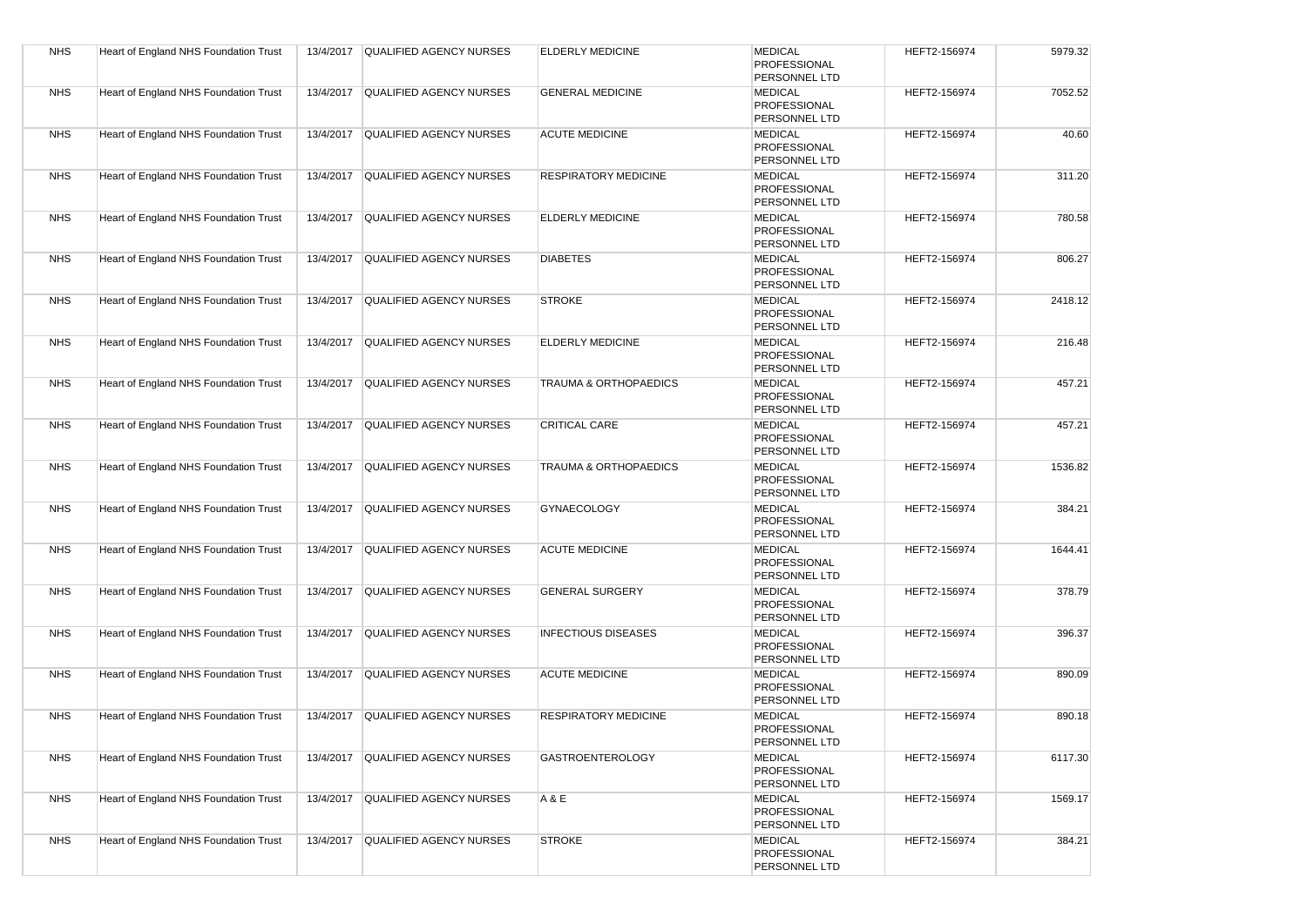| <b>NHS</b> | Heart of England NHS Foundation Trust | 13/4/2017 | QUALIFIED AGENCY NURSES           | <b>ELDERLY MEDICINE</b>          | <b>MEDICAL</b><br>PROFESSIONAL<br>PERSONNEL LTD               | HEFT2-156974 | 5979.32 |
|------------|---------------------------------------|-----------|-----------------------------------|----------------------------------|---------------------------------------------------------------|--------------|---------|
| <b>NHS</b> | Heart of England NHS Foundation Trust | 13/4/2017 | <b>QUALIFIED AGENCY NURSES</b>    | <b>GENERAL MEDICINE</b>          | <b>MEDICAL</b><br><b>PROFESSIONAL</b><br>PERSONNEL LTD        | HEFT2-156974 | 7052.52 |
| <b>NHS</b> | Heart of England NHS Foundation Trust | 13/4/2017 | QUALIFIED AGENCY NURSES           | <b>ACUTE MEDICINE</b>            | <b>MEDICAL</b><br>PROFESSIONAL<br>PERSONNEL LTD               | HEFT2-156974 | 40.60   |
| <b>NHS</b> | Heart of England NHS Foundation Trust | 13/4/2017 | QUALIFIED AGENCY NURSES           | <b>RESPIRATORY MEDICINE</b>      | <b>MEDICAL</b><br><b>PROFESSIONAL</b><br>PERSONNEL LTD        | HEFT2-156974 | 311.20  |
| <b>NHS</b> | Heart of England NHS Foundation Trust | 13/4/2017 | QUALIFIED AGENCY NURSES           | <b>ELDERLY MEDICINE</b>          | <b>MEDICAL</b><br>PROFESSIONAL<br>PERSONNEL LTD               | HEFT2-156974 | 780.58  |
| <b>NHS</b> | Heart of England NHS Foundation Trust | 13/4/2017 | QUALIFIED AGENCY NURSES           | <b>DIABETES</b>                  | <b>MEDICAL</b><br><b>PROFESSIONAL</b><br>PERSONNEL LTD        | HEFT2-156974 | 806.27  |
| <b>NHS</b> | Heart of England NHS Foundation Trust | 13/4/2017 | <b>QUALIFIED AGENCY NURSES</b>    | <b>STROKE</b>                    | <b>MEDICAL</b><br><b>PROFESSIONAL</b><br>PERSONNEL LTD        | HEFT2-156974 | 2418.12 |
| <b>NHS</b> | Heart of England NHS Foundation Trust | 13/4/2017 | <b>QUALIFIED AGENCY NURSES</b>    | <b>ELDERLY MEDICINE</b>          | <b>MEDICAL</b><br><b>PROFESSIONAL</b><br>PERSONNEL LTD        | HEFT2-156974 | 216.48  |
| <b>NHS</b> | Heart of England NHS Foundation Trust | 13/4/2017 | <b>QUALIFIED AGENCY NURSES</b>    | <b>TRAUMA &amp; ORTHOPAEDICS</b> | <b>MEDICAL</b><br>PROFESSIONAL<br>PERSONNEL LTD               | HEFT2-156974 | 457.21  |
| <b>NHS</b> | Heart of England NHS Foundation Trust | 13/4/2017 | <b>QUALIFIED AGENCY NURSES</b>    | <b>CRITICAL CARE</b>             | <b>MEDICAL</b><br>PROFESSIONAL<br>PERSONNEL LTD               | HEFT2-156974 | 457.21  |
| <b>NHS</b> | Heart of England NHS Foundation Trust | 13/4/2017 | QUALIFIED AGENCY NURSES           | TRAUMA & ORTHOPAEDICS            | <b>MEDICAL</b><br><b>PROFESSIONAL</b><br><b>PERSONNEL LTD</b> | HEFT2-156974 | 1536.82 |
| <b>NHS</b> | Heart of England NHS Foundation Trust | 13/4/2017 | QUALIFIED AGENCY NURSES           | <b>GYNAECOLOGY</b>               | <b>MEDICAL</b><br><b>PROFESSIONAL</b><br>PERSONNEL LTD        | HEFT2-156974 | 384.21  |
| <b>NHS</b> | Heart of England NHS Foundation Trust | 13/4/2017 | <b>QUALIFIED AGENCY NURSES</b>    | <b>ACUTE MEDICINE</b>            | <b>MEDICAL</b><br><b>PROFESSIONAL</b><br>PERSONNEL LTD        | HEFT2-156974 | 1644.41 |
| <b>NHS</b> | Heart of England NHS Foundation Trust | 13/4/2017 | QUALIFIED AGENCY NURSES           | <b>GENERAL SURGERY</b>           | <b>MEDICAL</b><br><b>PROFESSIONAL</b><br>PERSONNEL LTD        | HEFT2-156974 | 378.79  |
| <b>NHS</b> | Heart of England NHS Foundation Trust | 13/4/2017 | QUALIFIED AGENCY NURSES           | <b>INFECTIOUS DISEASES</b>       | <b>MEDICAL</b><br><b>PROFESSIONAL</b><br><b>PERSONNEL LTD</b> | HEFT2-156974 | 396.37  |
| <b>NHS</b> | Heart of England NHS Foundation Trust | 13/4/2017 | QUALIFIED AGENCY NURSES           | <b>ACUTE MEDICINE</b>            | <b>MEDICAL</b><br>PROFESSIONAL<br>PERSONNEL LTD               | HEFT2-156974 | 890.09  |
| <b>NHS</b> | Heart of England NHS Foundation Trust | 13/4/2017 | <b>QUALIFIED AGENCY NURSES</b>    | <b>RESPIRATORY MEDICINE</b>      | <b>MEDICAL</b><br>PROFESSIONAL<br>PERSONNEL LID               | HEFT2-156974 | 890.18  |
| <b>NHS</b> | Heart of England NHS Foundation Trust |           | 13/4/2017 QUALIFIED AGENCY NURSES | <b>GASTROENTEROLOGY</b>          | <b>MEDICAL</b><br>PROFESSIONAL<br>PERSONNEL LTD               | HEFT2-156974 | 6117.30 |
| <b>NHS</b> | Heart of England NHS Foundation Trust | 13/4/2017 | QUALIFIED AGENCY NURSES           | A & E                            | <b>MEDICAL</b><br>PROFESSIONAL<br>PERSONNEL LTD               | HEFT2-156974 | 1569.17 |
| <b>NHS</b> | Heart of England NHS Foundation Trust | 13/4/2017 | QUALIFIED AGENCY NURSES           | <b>STROKE</b>                    | <b>MEDICAL</b><br>PROFESSIONAL<br>PERSONNEL LTD               | HEFT2-156974 | 384.21  |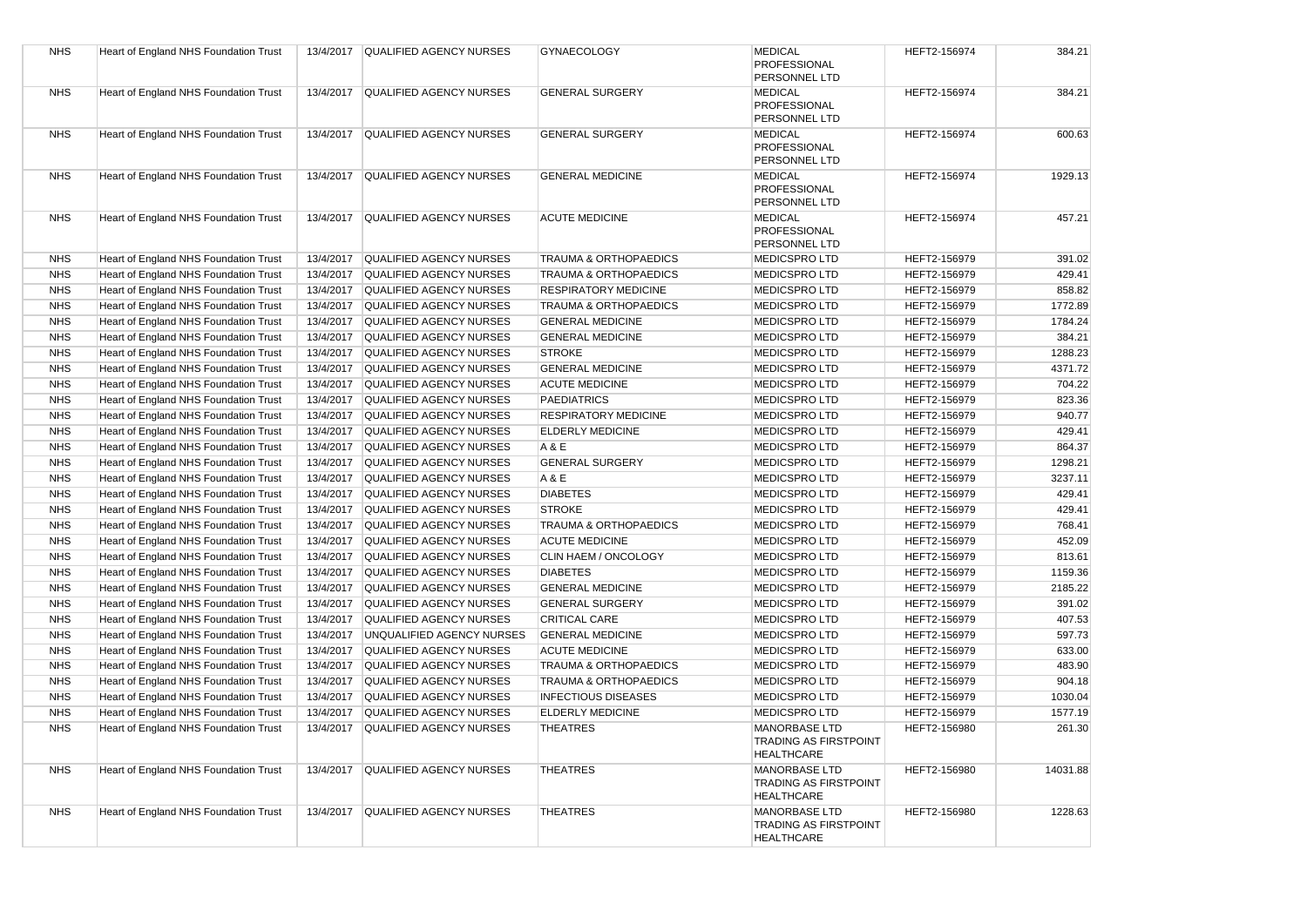| <b>NHS</b> | Heart of England NHS Foundation Trust |           | 13/4/2017 QUALIFIED AGENCY NURSES | <b>GYNAECOLOGY</b>               | <b>MEDICAL</b><br><b>PROFESSIONAL</b>                                     | HEFT2-156974 | 384.21   |
|------------|---------------------------------------|-----------|-----------------------------------|----------------------------------|---------------------------------------------------------------------------|--------------|----------|
|            |                                       |           |                                   |                                  | PERSONNEL LTD                                                             |              |          |
| <b>NHS</b> | Heart of England NHS Foundation Trust | 13/4/2017 | QUALIFIED AGENCY NURSES           | <b>GENERAL SURGERY</b>           | <b>MEDICAL</b><br><b>PROFESSIONAL</b><br>PERSONNEL LTD                    | HEFT2-156974 | 384.21   |
| <b>NHS</b> | Heart of England NHS Foundation Trust | 13/4/2017 | <b>QUALIFIED AGENCY NURSES</b>    | <b>GENERAL SURGERY</b>           | <b>MEDICAL</b>                                                            | HEFT2-156974 | 600.63   |
|            |                                       |           |                                   |                                  | <b>PROFESSIONAL</b><br>PERSONNEL LTD                                      |              |          |
| <b>NHS</b> | Heart of England NHS Foundation Trust | 13/4/2017 | QUALIFIED AGENCY NURSES           | <b>GENERAL MEDICINE</b>          | <b>MEDICAL</b><br><b>PROFESSIONAL</b><br>PERSONNEL LTD                    | HEFT2-156974 | 1929.13  |
| <b>NHS</b> | Heart of England NHS Foundation Trust |           | 13/4/2017 QUALIFIED AGENCY NURSES | <b>ACUTE MEDICINE</b>            | <b>MEDICAL</b><br><b>PROFESSIONAL</b><br><b>PERSONNEL LTD</b>             | HEFT2-156974 | 457.21   |
| <b>NHS</b> | Heart of England NHS Foundation Trust | 13/4/2017 | QUALIFIED AGENCY NURSES           | <b>TRAUMA &amp; ORTHOPAEDICS</b> | <b>MEDICSPROLTD</b>                                                       | HEFT2-156979 | 391.02   |
| <b>NHS</b> | Heart of England NHS Foundation Trust | 13/4/2017 | QUALIFIED AGENCY NURSES           | TRAUMA & ORTHOPAEDICS            | <b>MEDICSPROLTD</b>                                                       | HEFT2-156979 | 429.41   |
| <b>NHS</b> | Heart of England NHS Foundation Trust | 13/4/2017 | QUALIFIED AGENCY NURSES           | <b>RESPIRATORY MEDICINE</b>      | <b>MEDICSPROLTD</b>                                                       | HEFT2-156979 | 858.82   |
| <b>NHS</b> | Heart of England NHS Foundation Trust | 13/4/2017 | QUALIFIED AGENCY NURSES           | <b>TRAUMA &amp; ORTHOPAEDICS</b> | <b>MEDICSPROLTD</b>                                                       | HEFT2-156979 | 1772.89  |
| <b>NHS</b> | Heart of England NHS Foundation Trust | 13/4/2017 | QUALIFIED AGENCY NURSES           | <b>GENERAL MEDICINE</b>          | <b>MEDICSPROLTD</b>                                                       | HEFT2-156979 | 1784.24  |
| <b>NHS</b> | Heart of England NHS Foundation Trust | 13/4/2017 | QUALIFIED AGENCY NURSES           | <b>GENERAL MEDICINE</b>          | <b>MEDICSPROLTD</b>                                                       | HEFT2-156979 | 384.21   |
| <b>NHS</b> | Heart of England NHS Foundation Trust | 13/4/2017 | QUALIFIED AGENCY NURSES           | <b>STROKE</b>                    | <b>MEDICSPROLTD</b>                                                       | HEFT2-156979 | 1288.23  |
| <b>NHS</b> | Heart of England NHS Foundation Trust | 13/4/2017 | QUALIFIED AGENCY NURSES           | <b>GENERAL MEDICINE</b>          | <b>MEDICSPROLTD</b>                                                       | HEFT2-156979 | 4371.72  |
| <b>NHS</b> | Heart of England NHS Foundation Trust | 13/4/2017 | QUALIFIED AGENCY NURSES           | <b>ACUTE MEDICINE</b>            | <b>MEDICSPROLTD</b>                                                       | HEFT2-156979 | 704.22   |
| <b>NHS</b> | Heart of England NHS Foundation Trust | 13/4/2017 | QUALIFIED AGENCY NURSES           | <b>PAEDIATRICS</b>               | <b>MEDICSPROLTD</b>                                                       | HEFT2-156979 | 823.36   |
| <b>NHS</b> | Heart of England NHS Foundation Trust | 13/4/2017 | QUALIFIED AGENCY NURSES           | <b>RESPIRATORY MEDICINE</b>      | <b>MEDICSPRO LTD</b>                                                      | HEFT2-156979 | 940.77   |
| <b>NHS</b> | Heart of England NHS Foundation Trust | 13/4/2017 | <b>QUALIFIED AGENCY NURSES</b>    | <b>ELDERLY MEDICINE</b>          | <b>MEDICSPROLTD</b>                                                       | HEFT2-156979 | 429.41   |
| <b>NHS</b> | Heart of England NHS Foundation Trust | 13/4/2017 | <b>QUALIFIED AGENCY NURSES</b>    | A & E                            | <b>MEDICSPROLTD</b>                                                       | HEFT2-156979 | 864.37   |
| <b>NHS</b> | Heart of England NHS Foundation Trust | 13/4/2017 | <b>QUALIFIED AGENCY NURSES</b>    | <b>GENERAL SURGERY</b>           | <b>MEDICSPROLTD</b>                                                       | HEFT2-156979 | 1298.21  |
| <b>NHS</b> | Heart of England NHS Foundation Trust | 13/4/2017 | QUALIFIED AGENCY NURSES           | A & E                            | <b>MEDICSPROLTD</b>                                                       | HEFT2-156979 | 3237.11  |
| <b>NHS</b> | Heart of England NHS Foundation Trust | 13/4/2017 | QUALIFIED AGENCY NURSES           | <b>DIABETES</b>                  | <b>MEDICSPROLTD</b>                                                       | HEFT2-156979 | 429.41   |
| <b>NHS</b> | Heart of England NHS Foundation Trust | 13/4/2017 | <b>QUALIFIED AGENCY NURSES</b>    | <b>STROKE</b>                    | <b>MEDICSPROLTD</b>                                                       | HEFT2-156979 | 429.41   |
| <b>NHS</b> | Heart of England NHS Foundation Trust | 13/4/2017 | QUALIFIED AGENCY NURSES           | TRAUMA & ORTHOPAEDICS            | <b>MEDICSPROLTD</b>                                                       | HEFT2-156979 | 768.41   |
| <b>NHS</b> | Heart of England NHS Foundation Trust | 13/4/2017 | QUALIFIED AGENCY NURSES           | <b>ACUTE MEDICINE</b>            | <b>MEDICSPROLTD</b>                                                       | HEFT2-156979 | 452.09   |
| <b>NHS</b> | Heart of England NHS Foundation Trust | 13/4/2017 | QUALIFIED AGENCY NURSES           | CLIN HAEM / ONCOLOGY             | <b>MEDICSPROLTD</b>                                                       | HEFT2-156979 | 813.61   |
| <b>NHS</b> | Heart of England NHS Foundation Trust | 13/4/2017 | QUALIFIED AGENCY NURSES           | <b>DIABETES</b>                  | <b>MEDICSPROLTD</b>                                                       | HEFT2-156979 | 1159.36  |
| <b>NHS</b> | Heart of England NHS Foundation Trust | 13/4/2017 | QUALIFIED AGENCY NURSES           | <b>GENERAL MEDICINE</b>          | <b>MEDICSPROLTD</b>                                                       | HEFT2-156979 | 2185.22  |
| <b>NHS</b> | Heart of England NHS Foundation Trust | 13/4/2017 | QUALIFIED AGENCY NURSES           | <b>GENERAL SURGERY</b>           | <b>MEDICSPROLTD</b>                                                       | HEFT2-156979 | 391.02   |
| <b>NHS</b> | Heart of England NHS Foundation Trust | 13/4/2017 | <b>QUALIFIED AGENCY NURSES</b>    | <b>CRITICAL CARE</b>             | <b>MEDICSPROLTD</b>                                                       | HEFT2-156979 | 407.53   |
| <b>NHS</b> | Heart of England NHS Foundation Trust | 13/4/2017 | UNQUALIFIED AGENCY NURSES         | <b>GENERAL MEDICINE</b>          | <b>MEDICSPROLTD</b>                                                       | HEFT2-156979 | 597.73   |
| <b>NHS</b> | Heart of England NHS Foundation Trust | 13/4/2017 | QUALIFIED AGENCY NURSES           | <b>ACUTE MEDICINE</b>            | <b>MEDICSPROLTD</b>                                                       | HEFT2-156979 | 633.00   |
| <b>NHS</b> | Heart of England NHS Foundation Trust | 13/4/2017 | QUALIFIED AGENCY NURSES           | <b>TRAUMA &amp; ORTHOPAEDICS</b> | <b>MEDICSPROLTD</b>                                                       | HEFT2-156979 | 483.90   |
| <b>NHS</b> | Heart of England NHS Foundation Trust | 13/4/2017 | QUALIFIED AGENCY NURSES           | <b>TRAUMA &amp; ORTHOPAEDICS</b> | <b>MEDICSPROLTD</b>                                                       | HEFT2-156979 | 904.18   |
| <b>NHS</b> | Heart of England NHS Foundation Trust | 13/4/2017 | <b>QUALIFIED AGENCY NURSES</b>    | <b>INFECTIOUS DISEASES</b>       | <b>MEDICSPROLTD</b>                                                       | HEFT2-156979 | 1030.04  |
| <b>NHS</b> | Heart of England NHS Foundation Trust | 13/4/2017 | <b>QUALIFIED AGENCY NURSES</b>    | <b>ELDERLY MEDICINE</b>          | <b>MEDICSPROLTD</b>                                                       | HEFT2-156979 | 1577.19  |
| <b>NHS</b> | Heart of England NHS Foundation Trust | 13/4/2017 | <b>QUALIFIED AGENCY NURSES</b>    | <b>THEATRES</b>                  | <b>MANORBASE LTD</b><br><b>TRADING AS FIRSTPOINT</b><br><b>HEALTHCARE</b> | HEFT2-156980 | 261.30   |
| <b>NHS</b> | Heart of England NHS Foundation Trust | 13/4/2017 | <b>QUALIFIED AGENCY NURSES</b>    | <b>THEATRES</b>                  | <b>MANORBASE LTD</b><br><b>TRADING AS FIRSTPOINT</b><br><b>HEALTHCARE</b> | HEFT2-156980 | 14031.88 |
| <b>NHS</b> | Heart of England NHS Foundation Trust |           | 13/4/2017 QUALIFIED AGENCY NURSES | <b>THEATRES</b>                  | <b>MANORBASE LTD</b><br><b>TRADING AS FIRSTPOINT</b><br><b>HEALTHCARE</b> | HEFT2-156980 | 1228.63  |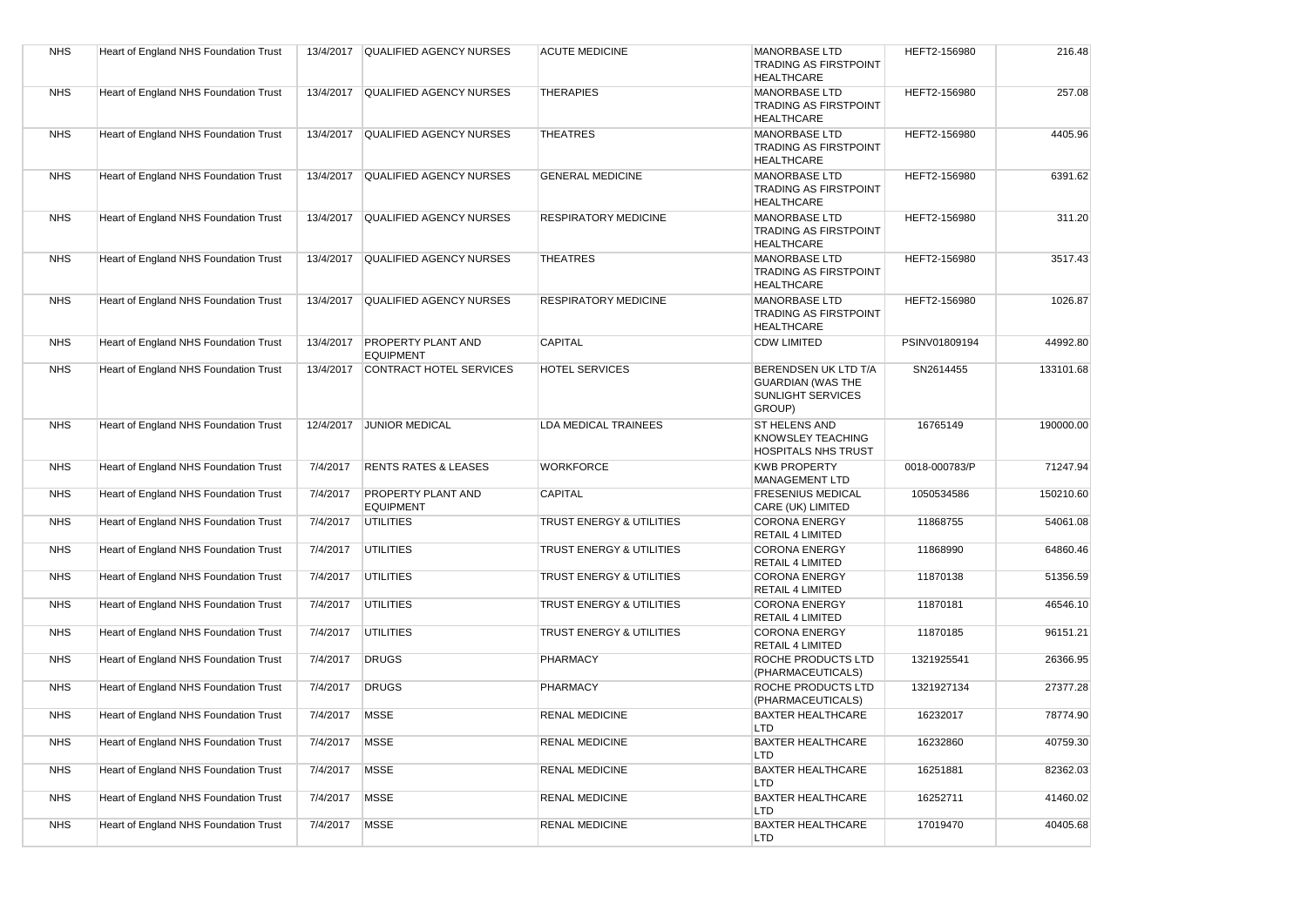| <b>NHS</b> | Heart of England NHS Foundation Trust |           | 13/4/2017 QUALIFIED AGENCY NURSES             | <b>ACUTE MEDICINE</b>       | <b>MANORBASE LTD</b><br><b>TRADING AS FIRSTPOINT</b><br><b>HEALTHCARE</b>              | HEFT2-156980  | 216.48    |
|------------|---------------------------------------|-----------|-----------------------------------------------|-----------------------------|----------------------------------------------------------------------------------------|---------------|-----------|
| <b>NHS</b> | Heart of England NHS Foundation Trust |           | 13/4/2017 QUALIFIED AGENCY NURSES             | <b>THERAPIES</b>            | <b>MANORBASE LTD</b><br><b>TRADING AS FIRSTPOINT</b><br><b>HEALTHCARE</b>              | HEFT2-156980  | 257.08    |
| <b>NHS</b> | Heart of England NHS Foundation Trust | 13/4/2017 | <b>QUALIFIED AGENCY NURSES</b>                | <b>THEATRES</b>             | <b>MANORBASE LTD</b><br><b>TRADING AS FIRSTPOINT</b><br><b>HEALTHCARE</b>              | HEFT2-156980  | 4405.96   |
| <b>NHS</b> | Heart of England NHS Foundation Trust | 13/4/2017 | <b>QUALIFIED AGENCY NURSES</b>                | <b>GENERAL MEDICINE</b>     | <b>MANORBASE LTD</b><br><b>TRADING AS FIRSTPOINT</b><br><b>HEALTHCARE</b>              | HEFT2-156980  | 6391.62   |
| <b>NHS</b> | Heart of England NHS Foundation Trust | 13/4/2017 | <b>QUALIFIED AGENCY NURSES</b>                | <b>RESPIRATORY MEDICINE</b> | <b>MANORBASE LTD</b><br><b>TRADING AS FIRSTPOINT</b><br><b>HEALTHCARE</b>              | HEFT2-156980  | 311.20    |
| <b>NHS</b> | Heart of England NHS Foundation Trust | 13/4/2017 | <b>QUALIFIED AGENCY NURSES</b>                | <b>THEATRES</b>             | <b>MANORBASE LTD</b><br><b>TRADING AS FIRSTPOINT</b><br><b>HEALTHCARE</b>              | HEFT2-156980  | 3517.43   |
| <b>NHS</b> | Heart of England NHS Foundation Trust | 13/4/2017 | <b>QUALIFIED AGENCY NURSES</b>                | <b>RESPIRATORY MEDICINE</b> | <b>MANORBASE LTD</b><br><b>TRADING AS FIRSTPOINT</b><br><b>HEALTHCARE</b>              | HEFT2-156980  | 1026.87   |
| <b>NHS</b> | Heart of England NHS Foundation Trust | 13/4/2017 | <b>PROPERTY PLANT AND</b><br><b>EQUIPMENT</b> | <b>CAPITAL</b>              | <b>CDW LIMITED</b>                                                                     | PSINV01809194 | 44992.80  |
| <b>NHS</b> | Heart of England NHS Foundation Trust | 13/4/2017 | CONTRACT HOTEL SERVICES                       | <b>HOTEL SERVICES</b>       | BERENDSEN UK LTD T/A<br><b>GUARDIAN (WAS THE</b><br><b>SUNLIGHT SERVICES</b><br>GROUP) | SN2614455     | 133101.68 |
| <b>NHS</b> | Heart of England NHS Foundation Trust |           | 12/4/2017 JUNIOR MEDICAL                      | <b>LDA MEDICAL TRAINEES</b> | ST HELENS AND<br>KNOWSLEY TEACHING<br><b>HOSPITALS NHS TRUST</b>                       | 16765149      | 190000.00 |
| <b>NHS</b> | Heart of England NHS Foundation Trust | 7/4/2017  | <b>RENTS RATES &amp; LEASES</b>               | <b>WORKFORCE</b>            | <b>KWB PROPERTY</b><br><b>MANAGEMENT LTD</b>                                           | 0018-000783/P | 71247.94  |
| <b>NHS</b> | Heart of England NHS Foundation Trust | 7/4/2017  | <b>PROPERTY PLANT AND</b><br><b>EQUIPMENT</b> | <b>CAPITAL</b>              | <b>FRESENIUS MEDICAL</b><br>CARE (UK) LIMITED                                          | 1050534586    | 150210.60 |
| <b>NHS</b> | Heart of England NHS Foundation Trust | 7/4/2017  | <b>UTILITIES</b>                              | TRUST ENERGY & UTILITIES    | <b>CORONA ENERGY</b><br><b>RETAIL 4 LIMITED</b>                                        | 11868755      | 54061.08  |
| <b>NHS</b> | Heart of England NHS Foundation Trust | 7/4/2017  | <b>UTILITIES</b>                              | TRUST ENERGY & UTILITIES    | <b>CORONA ENERGY</b><br><b>RETAIL 4 LIMITED</b>                                        | 11868990      | 64860.46  |
| <b>NHS</b> | Heart of England NHS Foundation Trust | 7/4/2017  | <b>UTILITIES</b>                              | TRUST ENERGY & UTILITIES    | <b>CORONA ENERGY</b><br><b>RETAIL 4 LIMITED</b>                                        | 11870138      | 51356.59  |
| <b>NHS</b> | Heart of England NHS Foundation Trust | 7/4/2017  | UTILITIES                                     | TRUST ENERGY & UTILITIES    | <b>CORONA ENERGY</b><br><b>RETAIL 4 LIMITED</b>                                        | 11870181      | 46546.10  |
| <b>NHS</b> | Heart of England NHS Foundation Trust | 7/4/2017  | <b>UTILITIES</b>                              | TRUST ENERGY & UTILITIES    | <b>CORONA ENERGY</b><br><b>RETAIL 4 LIMITED</b>                                        | 11870185      | 96151.21  |
| <b>NHS</b> | Heart of England NHS Foundation Trust | 7/4/2017  | <b>DRUGS</b>                                  | PHARMACY                    | ROCHE PRODUCTS LTD<br>(PHARMACEUTICALS)                                                | 1321925541    | 26366.95  |
| <b>NHS</b> | Heart of England NHS Foundation Trust | 7/4/2017  | <b>DRUGS</b>                                  | PHARMACY                    | ROCHE PRODUCTS LTD<br>(PHARMACEUTICALS)                                                | 1321927134    | 27377.28  |
| <b>NHS</b> | Heart of England NHS Foundation Trust | 7/4/2017  | <b>MSSE</b>                                   | <b>RENAL MEDICINE</b>       | <b>BAXTER HEALTHCARE</b><br><b>LTD</b>                                                 | 16232017      | 78774.90  |
| <b>NHS</b> | Heart of England NHS Foundation Trust | 7/4/2017  | <b>MSSE</b>                                   | <b>RENAL MEDICINE</b>       | <b>BAXTER HEALTHCARE</b><br><b>LTD</b>                                                 | 16232860      | 40759.30  |
| <b>NHS</b> | Heart of England NHS Foundation Trust | 7/4/2017  | <b>MSSE</b>                                   | <b>RENAL MEDICINE</b>       | <b>BAXTER HEALTHCARE</b><br><b>LTD</b>                                                 | 16251881      | 82362.03  |
| <b>NHS</b> | Heart of England NHS Foundation Trust | 7/4/2017  | <b>MSSE</b>                                   | <b>RENAL MEDICINE</b>       | <b>BAXTER HEALTHCARE</b><br>LTD                                                        | 16252711      | 41460.02  |
| <b>NHS</b> | Heart of England NHS Foundation Trust | 7/4/2017  | <b>MSSE</b>                                   | <b>RENAL MEDICINE</b>       | <b>BAXTER HEALTHCARE</b><br>LTD                                                        | 17019470      | 40405.68  |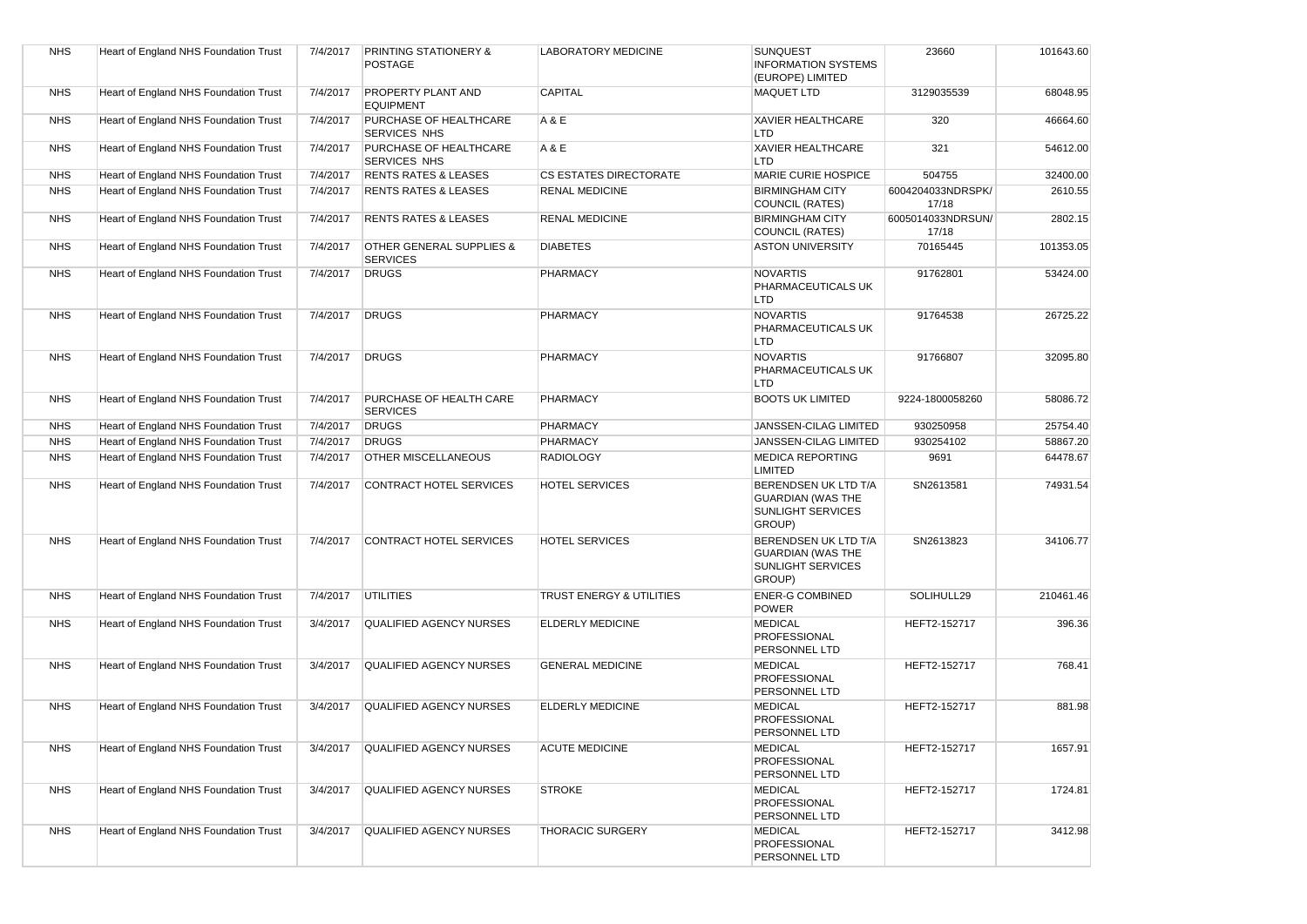| <b>NHS</b> | Heart of England NHS Foundation Trust | 7/4/2017 | <b>PRINTING STATIONERY &amp;</b><br><b>POSTAGE</b> | <b>LABORATORY MEDICINE</b>          | <b>SUNQUEST</b><br><b>INFORMATION SYSTEMS</b><br>(EUROPE) LIMITED                      | 23660                      | 101643.60 |
|------------|---------------------------------------|----------|----------------------------------------------------|-------------------------------------|----------------------------------------------------------------------------------------|----------------------------|-----------|
| <b>NHS</b> | Heart of England NHS Foundation Trust | 7/4/2017 | <b>PROPERTY PLANT AND</b><br><b>EQUIPMENT</b>      | <b>CAPITAL</b>                      | <b>MAQUET LTD</b>                                                                      | 3129035539                 | 68048.95  |
| <b>NHS</b> | Heart of England NHS Foundation Trust | 7/4/2017 | PURCHASE OF HEALTHCARE<br>SERVICES NHS             | A & E                               | <b>XAVIER HEALTHCARE</b><br><b>LTD</b>                                                 | 320                        | 46664.60  |
| <b>NHS</b> | Heart of England NHS Foundation Trust | 7/4/2017 | PURCHASE OF HEALTHCARE<br><b>SERVICES NHS</b>      | A & E                               | <b>XAVIER HEALTHCARE</b><br><b>LTD</b>                                                 | 321                        | 54612.00  |
| <b>NHS</b> | Heart of England NHS Foundation Trust | 7/4/2017 | <b>RENTS RATES &amp; LEASES</b>                    | <b>CS ESTATES DIRECTORATE</b>       | <b>MARIE CURIE HOSPICE</b>                                                             | 504755                     | 32400.00  |
| <b>NHS</b> | Heart of England NHS Foundation Trust | 7/4/2017 | <b>RENTS RATES &amp; LEASES</b>                    | <b>RENAL MEDICINE</b>               | <b>BIRMINGHAM CITY</b><br><b>COUNCIL (RATES)</b>                                       | 6004204033NDRSPK/<br>17/18 | 2610.55   |
| <b>NHS</b> | Heart of England NHS Foundation Trust | 7/4/2017 | <b>RENTS RATES &amp; LEASES</b>                    | <b>RENAL MEDICINE</b>               | <b>BIRMINGHAM CITY</b><br><b>COUNCIL (RATES)</b>                                       | 6005014033NDRSUN/<br>17/18 | 2802.15   |
| <b>NHS</b> | Heart of England NHS Foundation Trust | 7/4/2017 | OTHER GENERAL SUPPLIES &<br><b>SERVICES</b>        | <b>DIABETES</b>                     | <b>ASTON UNIVERSITY</b>                                                                | 70165445                   | 101353.05 |
| <b>NHS</b> | Heart of England NHS Foundation Trust | 7/4/2017 | <b>DRUGS</b>                                       | PHARMACY                            | <b>NOVARTIS</b><br>PHARMACEUTICALS UK<br><b>LTD</b>                                    | 91762801                   | 53424.00  |
| <b>NHS</b> | Heart of England NHS Foundation Trust | 7/4/2017 | <b>DRUGS</b>                                       | PHARMACY                            | <b>NOVARTIS</b><br>PHARMACEUTICALS UK<br><b>LTD</b>                                    | 91764538                   | 26725.22  |
| <b>NHS</b> | Heart of England NHS Foundation Trust | 7/4/2017 | <b>DRUGS</b>                                       | PHARMACY                            | <b>NOVARTIS</b><br>PHARMACEUTICALS UK<br>LTD                                           | 91766807                   | 32095.80  |
| <b>NHS</b> | Heart of England NHS Foundation Trust | 7/4/2017 | PURCHASE OF HEALTH CARE<br><b>SERVICES</b>         | PHARMACY                            | <b>BOOTS UK LIMITED</b>                                                                | 9224-1800058260            | 58086.72  |
| <b>NHS</b> | Heart of England NHS Foundation Trust | 7/4/2017 | <b>DRUGS</b>                                       | PHARMACY                            | JANSSEN-CILAG LIMITED                                                                  | 930250958                  | 25754.40  |
| <b>NHS</b> | Heart of England NHS Foundation Trust | 7/4/2017 | <b>DRUGS</b>                                       | PHARMACY                            | JANSSEN-CILAG LIMITED                                                                  | 930254102                  | 58867.20  |
| <b>NHS</b> | Heart of England NHS Foundation Trust | 7/4/2017 | <b>OTHER MISCELLANEOUS</b>                         | <b>RADIOLOGY</b>                    | <b>MEDICA REPORTING</b><br><b>LIMITED</b>                                              | 9691                       | 64478.67  |
| <b>NHS</b> | Heart of England NHS Foundation Trust | 7/4/2017 | <b>CONTRACT HOTEL SERVICES</b>                     | <b>HOTEL SERVICES</b>               | BERENDSEN UK LTD T/A<br><b>GUARDIAN (WAS THE</b><br><b>SUNLIGHT SERVICES</b><br>GROUP) | SN2613581                  | 74931.54  |
| <b>NHS</b> | Heart of England NHS Foundation Trust | 7/4/2017 | CONTRACT HOTEL SERVICES                            | <b>HOTEL SERVICES</b>               | BERENDSEN UK LTD T/A<br><b>GUARDIAN (WAS THE</b><br><b>SUNLIGHT SERVICES</b><br>GROUP) | SN2613823                  | 34106.77  |
| <b>NHS</b> | Heart of England NHS Foundation Trust | 7/4/2017 | <b>UTILITIES</b>                                   | <b>TRUST ENERGY &amp; UTILITIES</b> | <b>ENER-G COMBINED</b><br><b>POWER</b>                                                 | SOLIHULL29                 | 210461.46 |
| <b>NHS</b> | Heart of England NHS Foundation Trust | 3/4/2017 | <b>QUALIFIED AGENCY NURSES</b>                     | <b>ELDERLY MEDICINE</b>             | <b>MEDICAL</b><br>PROFESSIONAL<br>PERSONNEL LTD                                        | HEFT2-152717               | 396.36    |
| <b>NHS</b> | Heart of England NHS Foundation Trust | 3/4/2017 | <b>QUALIFIED AGENCY NURSES</b>                     | <b>GENERAL MEDICINE</b>             | <b>MEDICAL</b><br>PROFESSIONAL<br>PERSONNEL LTD                                        | HEFT2-152717               | 768.41    |
| <b>NHS</b> | Heart of England NHS Foundation Trust | 3/4/2017 | <b>QUALIFIED AGENCY NURSES</b>                     | <b>ELDERLY MEDICINE</b>             | <b>MEDICAL</b><br>PROFESSIONAL<br>PERSONNEL LTD                                        | HEFT2-152717               | 881.98    |
| <b>NHS</b> | Heart of England NHS Foundation Trust | 3/4/2017 | QUALIFIED AGENCY NURSES                            | <b>ACUTE MEDICINE</b>               | <b>MEDICAL</b><br>PROFESSIONAL<br>PERSONNEL LTD                                        | HEFT2-152717               | 1657.91   |
| <b>NHS</b> | Heart of England NHS Foundation Trust | 3/4/2017 | <b>QUALIFIED AGENCY NURSES</b>                     | <b>STROKE</b>                       | <b>MEDICAL</b><br>PROFESSIONAL<br>PERSONNEL LTD                                        | HEFT2-152717               | 1724.81   |
| <b>NHS</b> | Heart of England NHS Foundation Trust | 3/4/2017 | <b>QUALIFIED AGENCY NURSES</b>                     | <b>THORACIC SURGERY</b>             | <b>MEDICAL</b><br>PROFESSIONAL<br>PERSONNEL LTD                                        | HEFT2-152717               | 3412.98   |